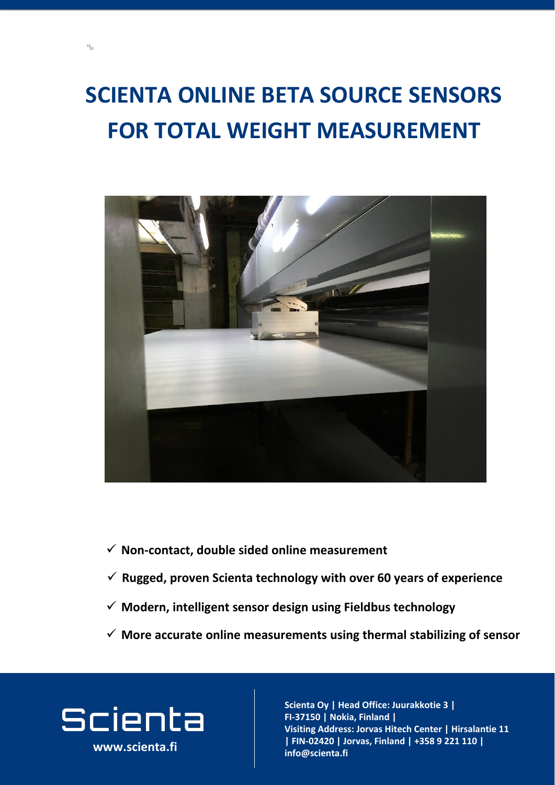### **SCIENTA ONLINE BETA SOURCE SENSORS**

### **FOR TOTAL WEIGHT MEASUREMENT**



**www.scienta.fi**

✓ **More accurate online measurements using thermal stabilizing of sensor**

# Scienta

 $\mathbb{Z}$ 

- ✓ **Rugged, proven Scienta technology with over 60 years of experience**
- 

**Visiting and address and address**<br>The contract and address and a **Joria, Fillianu |**<br>Jorian - Center adress: Jorva **02420 Jorvas, Finland | FIN-02420 | Jorvas, Finland | +358 9 221 110 |**   $\mathsf{info@}$ scienta.fi **Scienta Oy | Head Office: Juurakkotie 3 | FI-37150 | Nokia, Finland | Visiting Address: Jorvas Hitech Center | Hirsalantie 11 info@scienta.fi www.scienta.fi**

#### ✓ **Non-contact, double sided online measurement**

✓ **Modern, intelligent sensor design using Fieldbus technology**